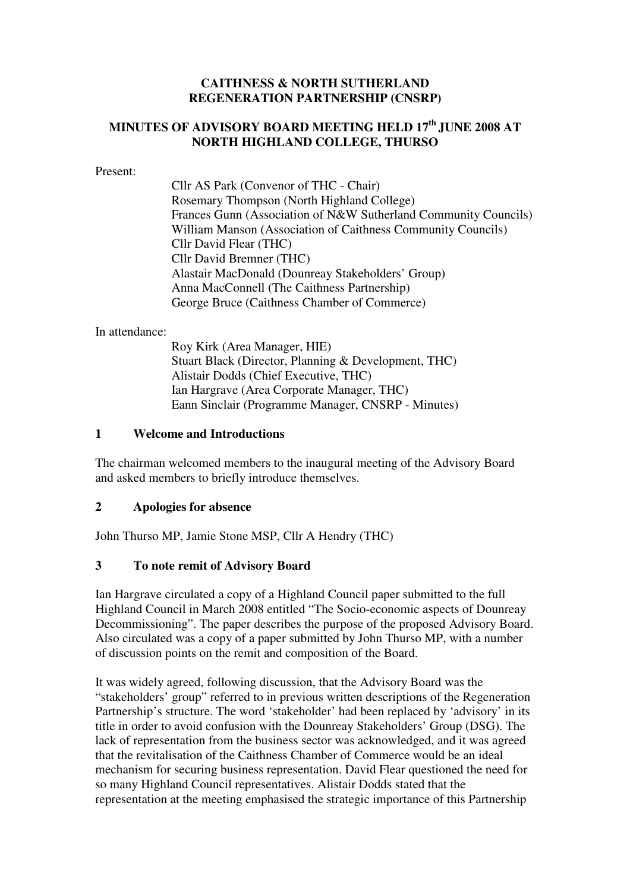### **CAITHNESS & NORTH SUTHERLAND REGENERATION PARTNERSHIP (CNSRP)**

## **MINUTES OF ADVISORY BOARD MEETING HELD 17th JUNE 2008 AT NORTH HIGHLAND COLLEGE, THURSO**

#### Present:

Cllr AS Park (Convenor of THC - Chair) Rosemary Thompson (North Highland College) Frances Gunn (Association of N&W Sutherland Community Councils) William Manson (Association of Caithness Community Councils) Cllr David Flear (THC) Cllr David Bremner (THC) Alastair MacDonald (Dounreay Stakeholders' Group) Anna MacConnell (The Caithness Partnership) George Bruce (Caithness Chamber of Commerce)

In attendance:

Roy Kirk (Area Manager, HIE) Stuart Black (Director, Planning & Development, THC) Alistair Dodds (Chief Executive, THC) Ian Hargrave (Area Corporate Manager, THC) Eann Sinclair (Programme Manager, CNSRP - Minutes)

### **1 Welcome and Introductions**

The chairman welcomed members to the inaugural meeting of the Advisory Board and asked members to briefly introduce themselves.

### **2 Apologies for absence**

John Thurso MP, Jamie Stone MSP, Cllr A Hendry (THC)

### **3 To note remit of Advisory Board**

Ian Hargrave circulated a copy of a Highland Council paper submitted to the full Highland Council in March 2008 entitled "The Socio-economic aspects of Dounreay Decommissioning". The paper describes the purpose of the proposed Advisory Board. Also circulated was a copy of a paper submitted by John Thurso MP, with a number of discussion points on the remit and composition of the Board.

It was widely agreed, following discussion, that the Advisory Board was the "stakeholders' group" referred to in previous written descriptions of the Regeneration Partnership's structure. The word 'stakeholder' had been replaced by 'advisory' in its title in order to avoid confusion with the Dounreay Stakeholders' Group (DSG). The lack of representation from the business sector was acknowledged, and it was agreed that the revitalisation of the Caithness Chamber of Commerce would be an ideal mechanism for securing business representation. David Flear questioned the need for so many Highland Council representatives. Alistair Dodds stated that the representation at the meeting emphasised the strategic importance of this Partnership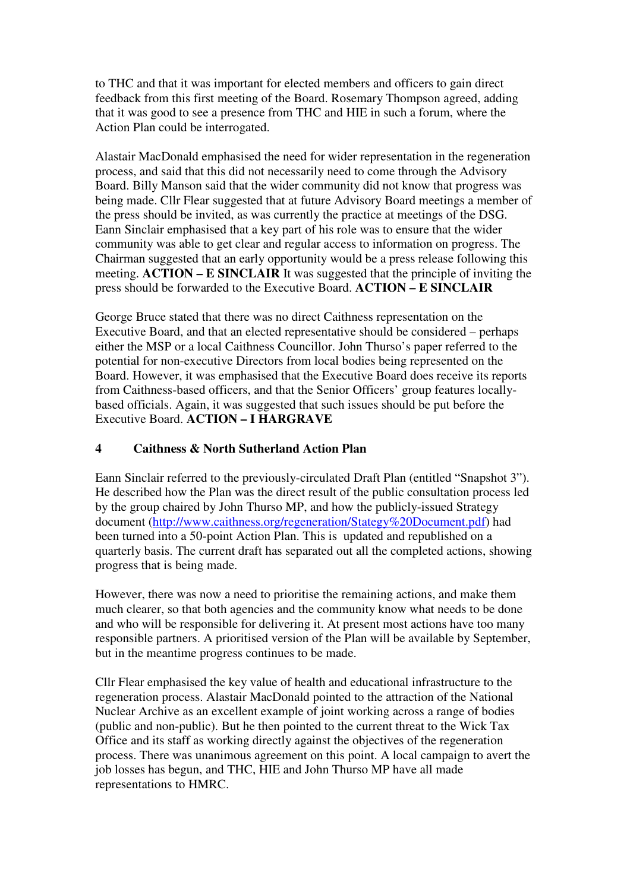to THC and that it was important for elected members and officers to gain direct feedback from this first meeting of the Board. Rosemary Thompson agreed, adding that it was good to see a presence from THC and HIE in such a forum, where the Action Plan could be interrogated.

Alastair MacDonald emphasised the need for wider representation in the regeneration process, and said that this did not necessarily need to come through the Advisory Board. Billy Manson said that the wider community did not know that progress was being made. Cllr Flear suggested that at future Advisory Board meetings a member of the press should be invited, as was currently the practice at meetings of the DSG. Eann Sinclair emphasised that a key part of his role was to ensure that the wider community was able to get clear and regular access to information on progress. The Chairman suggested that an early opportunity would be a press release following this meeting. **ACTION – E SINCLAIR** It was suggested that the principle of inviting the press should be forwarded to the Executive Board. **ACTION – E SINCLAIR**

George Bruce stated that there was no direct Caithness representation on the Executive Board, and that an elected representative should be considered – perhaps either the MSP or a local Caithness Councillor. John Thurso's paper referred to the potential for non-executive Directors from local bodies being represented on the Board. However, it was emphasised that the Executive Board does receive its reports from Caithness-based officers, and that the Senior Officers' group features locallybased officials. Again, it was suggested that such issues should be put before the Executive Board. **ACTION – I HARGRAVE**

## **4 Caithness & North Sutherland Action Plan**

Eann Sinclair referred to the previously-circulated Draft Plan (entitled "Snapshot 3"). He described how the Plan was the direct result of the public consultation process led by the group chaired by John Thurso MP, and how the publicly-issued Strategy document (http://www.caithness.org/regeneration/Stategy%20Document.pdf) had been turned into a 50-point Action Plan. This is updated and republished on a quarterly basis. The current draft has separated out all the completed actions, showing progress that is being made.

However, there was now a need to prioritise the remaining actions, and make them much clearer, so that both agencies and the community know what needs to be done and who will be responsible for delivering it. At present most actions have too many responsible partners. A prioritised version of the Plan will be available by September, but in the meantime progress continues to be made.

Cllr Flear emphasised the key value of health and educational infrastructure to the regeneration process. Alastair MacDonald pointed to the attraction of the National Nuclear Archive as an excellent example of joint working across a range of bodies (public and non-public). But he then pointed to the current threat to the Wick Tax Office and its staff as working directly against the objectives of the regeneration process. There was unanimous agreement on this point. A local campaign to avert the job losses has begun, and THC, HIE and John Thurso MP have all made representations to HMRC.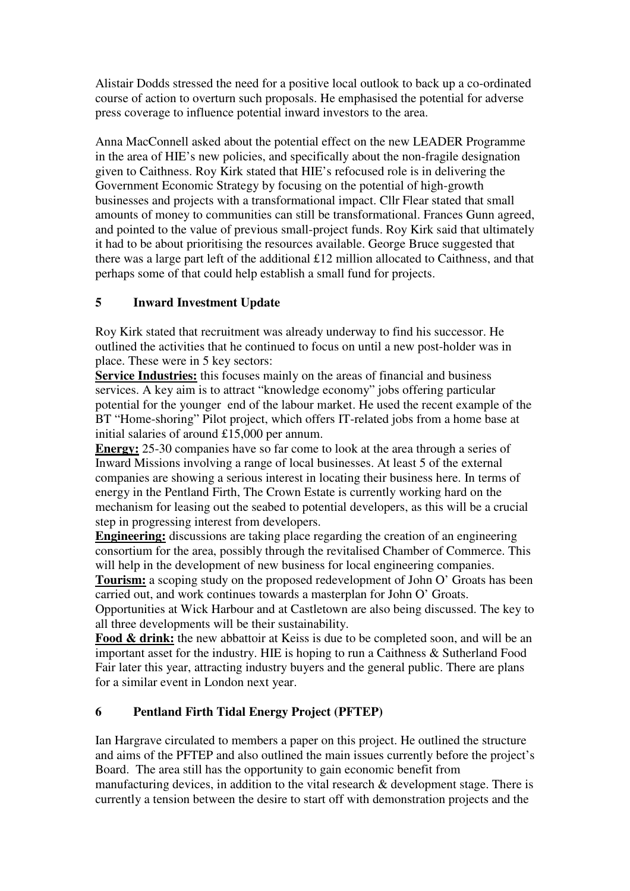Alistair Dodds stressed the need for a positive local outlook to back up a co-ordinated course of action to overturn such proposals. He emphasised the potential for adverse press coverage to influence potential inward investors to the area.

Anna MacConnell asked about the potential effect on the new LEADER Programme in the area of HIE's new policies, and specifically about the non-fragile designation given to Caithness. Roy Kirk stated that HIE's refocused role is in delivering the Government Economic Strategy by focusing on the potential of high-growth businesses and projects with a transformational impact. Cllr Flear stated that small amounts of money to communities can still be transformational. Frances Gunn agreed, and pointed to the value of previous small-project funds. Roy Kirk said that ultimately it had to be about prioritising the resources available. George Bruce suggested that there was a large part left of the additional £12 million allocated to Caithness, and that perhaps some of that could help establish a small fund for projects.

## **5 Inward Investment Update**

Roy Kirk stated that recruitment was already underway to find his successor. He outlined the activities that he continued to focus on until a new post-holder was in place. These were in 5 key sectors:

**Service Industries:** this focuses mainly on the areas of financial and business services. A key aim is to attract "knowledge economy" jobs offering particular potential for the younger end of the labour market. He used the recent example of the BT "Home-shoring" Pilot project, which offers IT-related jobs from a home base at initial salaries of around £15,000 per annum.

**Energy:** 25-30 companies have so far come to look at the area through a series of Inward Missions involving a range of local businesses. At least 5 of the external companies are showing a serious interest in locating their business here. In terms of energy in the Pentland Firth, The Crown Estate is currently working hard on the mechanism for leasing out the seabed to potential developers, as this will be a crucial step in progressing interest from developers.

**Engineering:** discussions are taking place regarding the creation of an engineering consortium for the area, possibly through the revitalised Chamber of Commerce. This will help in the development of new business for local engineering companies.

**Tourism:** a scoping study on the proposed redevelopment of John O' Groats has been carried out, and work continues towards a masterplan for John O' Groats.

Opportunities at Wick Harbour and at Castletown are also being discussed. The key to all three developments will be their sustainability.

Food & drink: the new abbattoir at Keiss is due to be completed soon, and will be an important asset for the industry. HIE is hoping to run a Caithness & Sutherland Food Fair later this year, attracting industry buyers and the general public. There are plans for a similar event in London next year.

# **6 Pentland Firth Tidal Energy Project (PFTEP)**

Ian Hargrave circulated to members a paper on this project. He outlined the structure and aims of the PFTEP and also outlined the main issues currently before the project's Board. The area still has the opportunity to gain economic benefit from manufacturing devices, in addition to the vital research & development stage. There is currently a tension between the desire to start off with demonstration projects and the